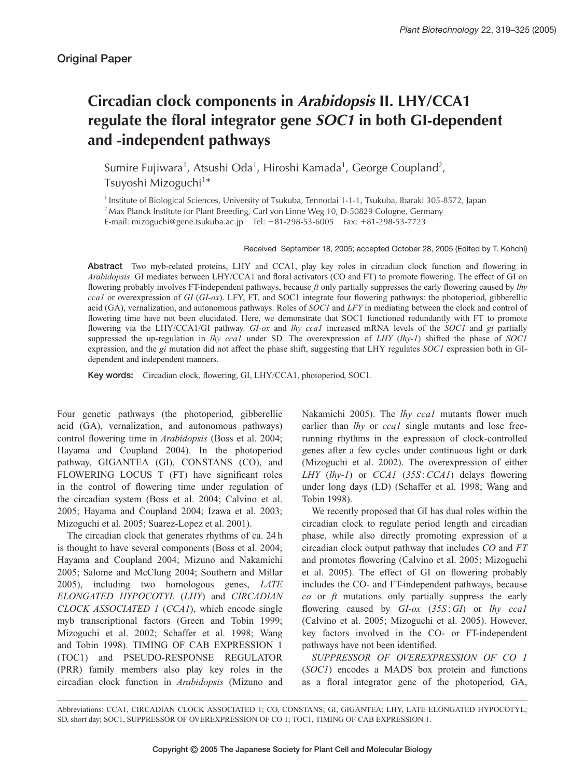# **Circadian clock components in** *Arabidopsis* **II. LHY/CCA1 regulate the floral integrator gene** *SOC1* **in both GI-dependent and -independent pathways**

Sumire Fujiwara<sup>1</sup>, Atsushi Oda<sup>1</sup>, Hiroshi Kamada<sup>1</sup>, George Coupland<sup>2</sup>, Tsuyoshi Mizoguchi<sup>1\*</sup>

<sup>1</sup> Institute of Biological Sciences, University of Tsukuba, Tennodai 1-1-1, Tsukuba, Ibaraki 305-8572, Japan

<sup>2</sup> Max Planck Institute for Plant Breeding, Carl von Linne Weg 10, D-50829 Cologne, Germany

E-mail: mizoguchi@gene.tsukuba.ac.jp Tel: +81-298-53-6005 Fax: +81-298-53-7723

Received September 18, 2005; accepted October 28, 2005 (Edited by T. Kohchi)

**Abstract** Two myb-related proteins, LHY and CCA1, play key roles in circadian clock function and flowering in *Arabidopsis*. GI mediates between LHY/CCA1 and floral activators (CO and FT) to promote flowering. The effect of GI on flowering probably involves FT-independent pathways, because *ft* only partially suppresses the early flowering caused by *lhy cca1* or overexpression of *GI* (*GI-ox*). LFY, FT, and SOC1 integrate four flowering pathways: the photoperiod, gibberellic acid (GA), vernalization, and autonomous pathways. Roles of *SOC1* and *LFY* in mediating between the clock and control of flowering time have not been elucidated. Here, we demonstrate that SOC1 functioned redundantly with FT to promote flowering via the LHY/CCA1/GI pathway. *GI-ox* and *lhy cca1* increased mRNA levels of the *SOC1* and *gi* partially suppressed the up-regulation in *lhy cca1* under SD. The overexpression of *LHY* (*lhy-1*) shifted the phase of *SOC1* expression, and the *gi* mutation did not affect the phase shift, suggesting that LHY regulates *SOC1* expression both in GIdependent and independent manners.

**Key words:** Circadian clock, flowering, GI, LHY/CCA1, photoperiod, SOC1.

Four genetic pathways (the photoperiod, gibberellic acid (GA), vernalization, and autonomous pathways) control flowering time in *Arabidopsis* (Boss et al. 2004; Hayama and Coupland 2004). In the photoperiod pathway, GIGANTEA (GI), CONSTANS (CO), and FLOWERING LOCUS T (FT) have significant roles in the control of flowering time under regulation of the circadian system (Boss et al. 2004; Calvino et al. 2005; Hayama and Coupland 2004; Izawa et al. 2003; Mizoguchi et al. 2005; Suarez-Lopez et al. 2001).

The circadian clock that generates rhythms of ca. 24 h is thought to have several components (Boss et al. 2004; Hayama and Coupland 2004; Mizuno and Nakamichi 2005; Salome and McClung 2004; Southern and Millar 2005), including two homologous genes, *LATE ELONGATED HYPOCOTYL* (*LHY*) and *CIRCADIAN CLOCK ASSOCIATED 1* (*CCA1*), which encode single myb transcriptional factors (Green and Tobin 1999; Mizoguchi et al. 2002; Schaffer et al. 1998; Wang and Tobin 1998). TIMING OF CAB EXPRESSION 1 (TOC1) and PSEUDO-RESPONSE REGULATOR (PRR) family members also play key roles in the circadian clock function in *Arabidopsis* (Mizuno and Nakamichi 2005). The *lhy cca1* mutants flower much earlier than *lhy* or *cca1* single mutants and lose freerunning rhythms in the expression of clock-controlled genes after a few cycles under continuous light or dark (Mizoguchi et al. 2002). The overexpression of either *LHY* (*lhy-1*) or *CCA1* (*35S* :*CCA1*) delays flowering under long days (LD) (Schaffer et al. 1998; Wang and Tobin 1998).

We recently proposed that GI has dual roles within the circadian clock to regulate period length and circadian phase, while also directly promoting expression of a circadian clock output pathway that includes *CO* and *FT* and promotes flowering (Calvino et al. 2005; Mizoguchi et al. 2005). The effect of GI on flowering probably includes the CO- and FT-independent pathways, because *co* or *ft* mutations only partially suppress the early flowering caused by *GI-ox* (*35S* : *GI*) or *lhy cca1* (Calvino et al. 2005; Mizoguchi et al. 2005). However, key factors involved in the CO- or FT-independent pathways have not been identified.

*SUPPRESSOR OF OVEREXPRESSION OF CO 1* (*SOC1*) encodes a MADS box protein and functions as a floral integrator gene of the photoperiod, GA,

Abbreviations: CCA1, CIRCADIAN CLOCK ASSOCIATED 1; CO, CONSTANS; GI, GIGANTEA; LHY, LATE ELONGATED HYPOCOTYL; SD, short day; SOC1, SUPPRESSOR OF OVEREXPRESSION OF CO 1; TOC1, TIMING OF CAB EXPRESSION 1.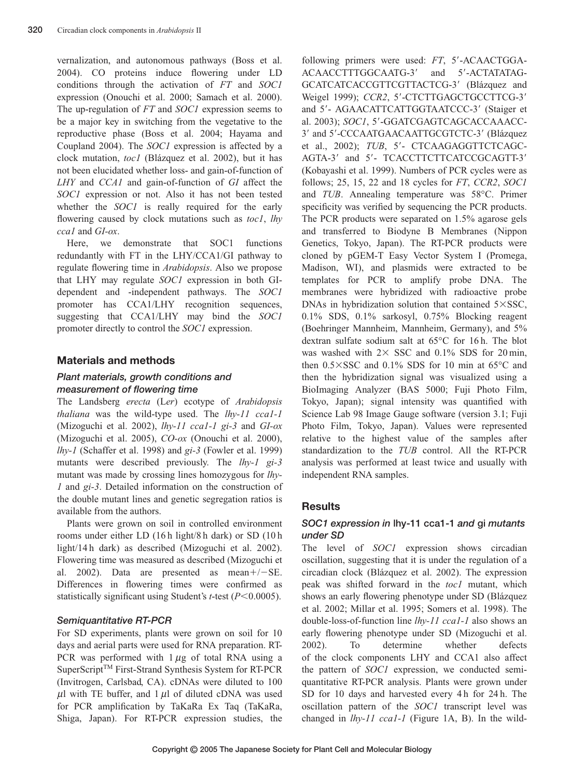vernalization, and autonomous pathways (Boss et al. 2004). CO proteins induce flowering under LD conditions through the activation of *FT* and *SOC1* expression (Onouchi et al. 2000; Samach et al. 2000). The up-regulation of *FT* and *SOC1* expression seems to be a major key in switching from the vegetative to the reproductive phase (Boss et al. 2004; Hayama and Coupland 2004). The *SOC1* expression is affected by a clock mutation, *toc1* (Blázquez et al. 2002), but it has not been elucidated whether loss- and gain-of-function of *LHY* and *CCA1* and gain-of-function of *GI* affect the *SOC1* expression or not. Also it has not been tested whether the *SOC1* is really required for the early flowering caused by clock mutations such as *toc1*, *lhy cca1* and *GI-ox*.

Here, we demonstrate that SOC1 functions redundantly with FT in the LHY/CCA1/GI pathway to regulate flowering time in *Arabidopsis*. Also we propose that LHY may regulate *SOC1* expression in both GIdependent and -independent pathways. The *SOC1* promoter has CCA1/LHY recognition sequences, suggesting that CCA1/LHY may bind the *SOC1* promoter directly to control the *SOC1* expression.

#### **Materials and methods**

#### *Plant materials, growth conditions and measurement of flowering time*

The Landsberg *erecta* (L*er*) ecotype of *Arabidopsis thaliana* was the wild-type used. The *lhy-11 cca1-1* (Mizoguchi et al. 2002), *lhy-11 cca1-1 gi-3* and *GI-ox* (Mizoguchi et al. 2005), *CO-ox* (Onouchi et al. 2000), *lhy-1* (Schaffer et al. 1998) and *gi-3* (Fowler et al. 1999) mutants were described previously. The *lhy-1 gi-3* mutant was made by crossing lines homozygous for *lhy-1* and *gi-3*. Detailed information on the construction of the double mutant lines and genetic segregation ratios is available from the authors.

Plants were grown on soil in controlled environment rooms under either LD (16 h light/8 h dark) or SD (10 h light/14 h dark) as described (Mizoguchi et al. 2002). Flowering time was measured as described (Mizoguchi et al. 2002). Data are presented as mean $+/-SE$ . Differences in flowering times were confirmed as statistically significant using Student's *t*-test (*P*<0.0005).

#### *Semiquantitative RT-PCR*

For SD experiments, plants were grown on soil for 10 days and aerial parts were used for RNA preparation. RT-PCR was performed with  $1 \mu$ g of total RNA using a SuperScript<sup>™</sup> First-Strand Synthesis System for RT-PCR (Invitrogen, Carlsbad, CA). cDNAs were diluted to 100  $\mu$ l with TE buffer, and 1  $\mu$ l of diluted cDNA was used for PCR amplification by TaKaRa Ex Taq (TaKaRa, Shiga, Japan). For RT-PCR expression studies, the following primers were used: FT, 5'-ACAACTGGA-ACAACCTTTGGCAATG-3' and 5'-ACTATATAG-GCATCATCACCGTTCGTTACTCG-3' (Blázquez and Weigel 1999); *CCR2*, 5'-CTCTTGAGCTGCCTTCG-3' and 5'- AGAACATTCATTGGTAATCCC-3' (Staiger et al. 2003); *SOC1*, 5'-GGATCGAGTCAGCACCAAACC-3' and 5'-CCCAATGAACAATTGCGTCTC-3' (Blázquez et al., 2002); *TUB*, 5'- CTCAAGAGGTTCTCAGC-AGTA-3' and 5'- TCACCTTCTTCATCCGCAGTT-3' (Kobayashi et al. 1999). Numbers of PCR cycles were as follows; 25, 15, 22 and 18 cycles for *FT*, *CCR2*, *SOC1* and *TUB*. Annealing temperature was 58°C. Primer specificity was verified by sequencing the PCR products. The PCR products were separated on 1.5% agarose gels and transferred to Biodyne B Membranes (Nippon Genetics, Tokyo, Japan). The RT-PCR products were cloned by pGEM-T Easy Vector System I (Promega, Madison, WI), and plasmids were extracted to be templates for PCR to amplify probe DNA. The membranes were hybridized with radioactive probe DNAs in hybridization solution that contained  $5\times$ SSC, 0.1% SDS, 0.1% sarkosyl, 0.75% Blocking reagent (Boehringer Mannheim, Mannheim, Germany), and 5% dextran sulfate sodium salt at 65°C for 16 h. The blot was washed with  $2 \times$  SSC and 0.1% SDS for 20 min. then  $0.5\times$ SSC and  $0.1\%$  SDS for 10 min at 65 $\degree$ C and then the hybridization signal was visualized using a BioImaging Analyzer (BAS 5000; Fuji Photo Film, Tokyo, Japan); signal intensity was quantified with Science Lab 98 Image Gauge software (version 3.1; Fuji Photo Film, Tokyo, Japan). Values were represented relative to the highest value of the samples after standardization to the *TUB* control. All the RT-PCR analysis was performed at least twice and usually with independent RNA samples.

## **Results**

## *SOC1 expression in* **lhy-11 cca1-1** *and* **gi** *mutants under SD*

The level of *SOC1* expression shows circadian oscillation, suggesting that it is under the regulation of a circadian clock (Blázquez et al. 2002). The expression peak was shifted forward in the *toc1* mutant, which shows an early flowering phenotype under SD (Blázquez et al. 2002; Millar et al. 1995; Somers et al. 1998). The double-loss-of-function line *lhy-11 cca1-1* also shows an early flowering phenotype under SD (Mizoguchi et al. 2002). To determine whether defects of the clock components LHY and CCA1 also affect the pattern of *SOC1* expression, we conducted semiquantitative RT-PCR analysis. Plants were grown under SD for 10 days and harvested every 4h for 24h. The oscillation pattern of the *SOC1* transcript level was changed in *lhy-11 cca1-1* (Figure 1A, B). In the wild-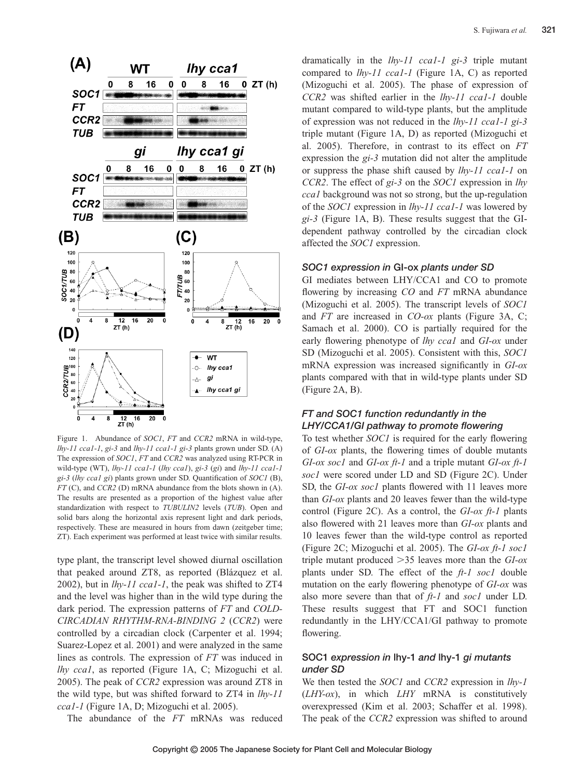

Figure 1. Abundance of *SOC1*, *FT* and *CCR2* mRNA in wild-type, *lhy-11 cca1-1*, *gi-3* and *lhy-11 cca1-1 gi-3* plants grown under SD. (A) The expression of *SOC1*, *FT* and *CCR2* was analyzed using RT-PCR in wild-type (WT), *lhy-11 cca1-1* (*lhy cca1*), *gi-3* (*gi*) and *lhy-11 cca1-1 gi-3* (*lhy cca1 gi*) plants grown under SD. Quantification of *SOC1* (B), *FT* (C), and *CCR2* (D) mRNA abundance from the blots shown in (A). The results are presented as a proportion of the highest value after standardization with respect to *TUBULIN2* levels (*TUB*). Open and solid bars along the horizontal axis represent light and dark periods, respectively. These are measured in hours from dawn (zeitgeber time; ZT). Each experiment was performed at least twice with similar results.

type plant, the transcript level showed diurnal oscillation that peaked around ZT8, as reported (Blázquez et al. 2002), but in *lhy-11 cca1-1*, the peak was shifted to ZT4 and the level was higher than in the wild type during the dark period. The expression patterns of *FT* and *COLD-CIRCADIAN RHYTHM-RNA-BINDING 2* (*CCR2*) were controlled by a circadian clock (Carpenter et al. 1994; Suarez-Lopez et al. 2001) and were analyzed in the same lines as controls. The expression of *FT* was induced in *lhy cca1*, as reported (Figure 1A, C; Mizoguchi et al. 2005). The peak of *CCR2* expression was around ZT8 in the wild type, but was shifted forward to ZT4 in *lhy-11 cca1-1* (Figure 1A, D; Mizoguchi et al. 2005).

The abundance of the *FT* mRNAs was reduced

dramatically in the *lhy-11 cca1-1 gi-3* triple mutant compared to *lhy-11 cca1-1* (Figure 1A, C) as reported (Mizoguchi et al. 2005). The phase of expression of *CCR2* was shifted earlier in the *lhy-11 cca1-1* double mutant compared to wild-type plants, but the amplitude of expression was not reduced in the *lhy-11 cca1-1 gi-3* triple mutant (Figure 1A, D) as reported (Mizoguchi et al. 2005). Therefore, in contrast to its effect on *FT* expression the *gi-3* mutation did not alter the amplitude or suppress the phase shift caused by *lhy-11 cca1-1* on *CCR2*. The effect of *gi-3* on the *SOC1* expression in *lhy cca1* background was not so strong, but the up-regulation of the *SOC1* expression in *lhy-11 cca1-1* was lowered by *gi-3* (Figure 1A, B). These results suggest that the GIdependent pathway controlled by the circadian clock affected the *SOC1* expression.

#### *SOC1 expression in* **GI-ox** *plants under SD*

GI mediates between LHY/CCA1 and CO to promote flowering by increasing *CO* and *FT* mRNA abundance (Mizoguchi et al. 2005). The transcript levels of *SOC1* and *FT* are increased in *CO-ox* plants (Figure 3A, C; Samach et al. 2000). CO is partially required for the early flowering phenotype of *lhy cca1* and *GI-ox* under SD (Mizoguchi et al. 2005). Consistent with this, *SOC1* mRNA expression was increased significantly in *GI-ox* plants compared with that in wild-type plants under SD (Figure 2A, B).

## *FT and SOC1 function redundantly in the LHY/CCA1/GI pathway to promote flowering*

To test whether *SOC1* is required for the early flowering of *GI-ox* plants, the flowering times of double mutants *GI-ox soc1* and *GI-ox ft-1* and a triple mutant *GI-ox ft-1 soc1* were scored under LD and SD (Figure 2C). Under SD, the *GI-ox soc1* plants flowered with 11 leaves more than *GI-ox* plants and 20 leaves fewer than the wild-type control (Figure 2C). As a control, the *GI-ox ft-1* plants also flowered with 21 leaves more than *GI-ox* plants and 10 leaves fewer than the wild-type control as reported (Figure 2C; Mizoguchi et al. 2005). The *GI-ox ft-1 soc1* triple mutant produced 35 leaves more than the *GI-ox* plants under SD. The effect of the *ft-1 soc1* double mutation on the early flowering phenotype of *GI-ox* was also more severe than that of *ft-1* and *soc1* under LD. These results suggest that FT and SOC1 function redundantly in the LHY/CCA1/GI pathway to promote flowering.

# **SOC1** *expression in* **lhy-1** *and* **lhy-1** *gi mutants under SD*

We then tested the *SOC1* and *CCR2* expression in *lhy-1* (*LHY-ox*), in which *LHY* mRNA is constitutively overexpressed (Kim et al. 2003; Schaffer et al. 1998). The peak of the *CCR2* expression was shifted to around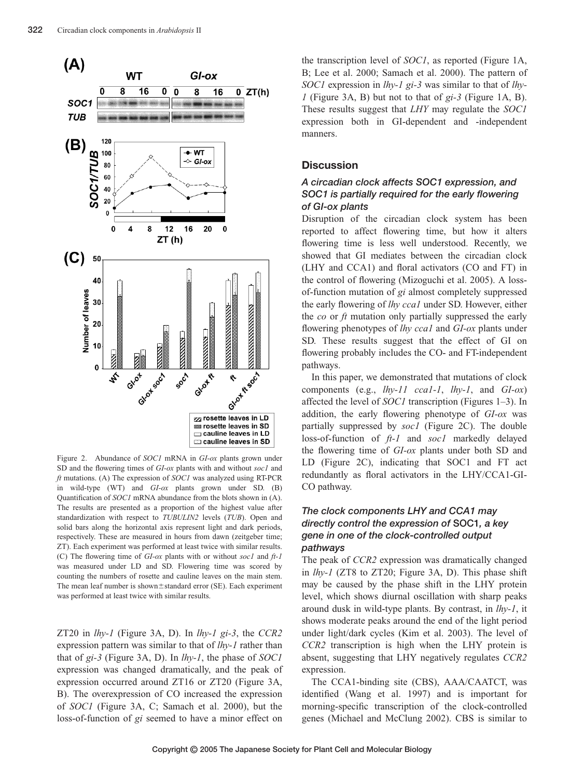

Figure 2. Abundance of *SOC1* mRNA in *GI-ox* plants grown under SD and the flowering times of *GI-ox* plants with and without *soc1* and *ft* mutations. (A) The expression of *SOC1* was analyzed using RT-PCR in wild-type (WT) and *GI-ox* plants grown under SD. (B) Quantification of *SOC1* mRNA abundance from the blots shown in (A). The results are presented as a proportion of the highest value after standardization with respect to *TUBULIN2* levels (*TUB*). Open and solid bars along the horizontal axis represent light and dark periods, respectively. These are measured in hours from dawn (zeitgeber time; ZT). Each experiment was performed at least twice with similar results. (C) The flowering time of *GI-ox* plants with or without *soc1* and *ft-1* was measured under LD and SD. Flowering time was scored by counting the numbers of rosette and cauline leaves on the main stem. The mean leaf number is shown $\pm$ standard error (SE). Each experiment was performed at least twice with similar results.

ZT20 in *lhy-1* (Figure 3A, D). In *lhy-1 gi-3*, the *CCR2* expression pattern was similar to that of *lhy-1* rather than that of *gi-3* (Figure 3A, D). In *lhy-1*, the phase of *SOC1* expression was changed dramatically, and the peak of expression occurred around ZT16 or ZT20 (Figure 3A, B). The overexpression of CO increased the expression of *SOC1* (Figure 3A, C; Samach et al. 2000), but the loss-of-function of *gi* seemed to have a minor effect on

the transcription level of *SOC1*, as reported (Figure 1A, B; Lee et al. 2000; Samach et al. 2000). The pattern of *SOC1* expression in *lhy-1 gi-3* was similar to that of *lhy-1* (Figure 3A, B) but not to that of *gi-3* (Figure 1A, B). These results suggest that *LHY* may regulate the *SOC1* expression both in GI-dependent and -independent manners.

### **Discussion**

# *A circadian clock affects SOC1 expression, and SOC1 is partially required for the early flowering of GI-ox plants*

Disruption of the circadian clock system has been reported to affect flowering time, but how it alters flowering time is less well understood. Recently, we showed that GI mediates between the circadian clock (LHY and CCA1) and floral activators (CO and FT) in the control of flowering (Mizoguchi et al. 2005). A lossof-function mutation of *gi* almost completely suppressed the early flowering of *lhy cca1* under SD. However, either the *co* or *ft* mutation only partially suppressed the early flowering phenotypes of *lhy cca1* and *GI-ox* plants under SD. These results suggest that the effect of GI on flowering probably includes the CO- and FT-independent pathways.

In this paper, we demonstrated that mutations of clock components (e.g., *lhy-11 cca1-1*, *lhy-1*, and *GI-ox*) affected the level of *SOC1* transcription (Figures 1–3). In addition, the early flowering phenotype of *GI-ox* was partially suppressed by *soc1* (Figure 2C). The double loss-of-function of *ft-1* and *soc1* markedly delayed the flowering time of *GI-ox* plants under both SD and LD (Figure 2C), indicating that SOC1 and FT act redundantly as floral activators in the LHY/CCA1-GI-CO pathway.

# *The clock components LHY and CCA1 may directly control the expression of* **SOC1***, a key gene in one of the clock-controlled output pathways*

The peak of *CCR2* expression was dramatically changed in *lhy-1* (ZT8 to ZT20; Figure 3A, D). This phase shift may be caused by the phase shift in the LHY protein level, which shows diurnal oscillation with sharp peaks around dusk in wild-type plants. By contrast, in *lhy-1*, it shows moderate peaks around the end of the light period under light/dark cycles (Kim et al. 2003). The level of *CCR2* transcription is high when the LHY protein is absent, suggesting that LHY negatively regulates *CCR2* expression.

The CCA1-binding site (CBS), AAA/CAATCT, was identified (Wang et al. 1997) and is important for morning-specific transcription of the clock-controlled genes (Michael and McClung 2002). CBS is similar to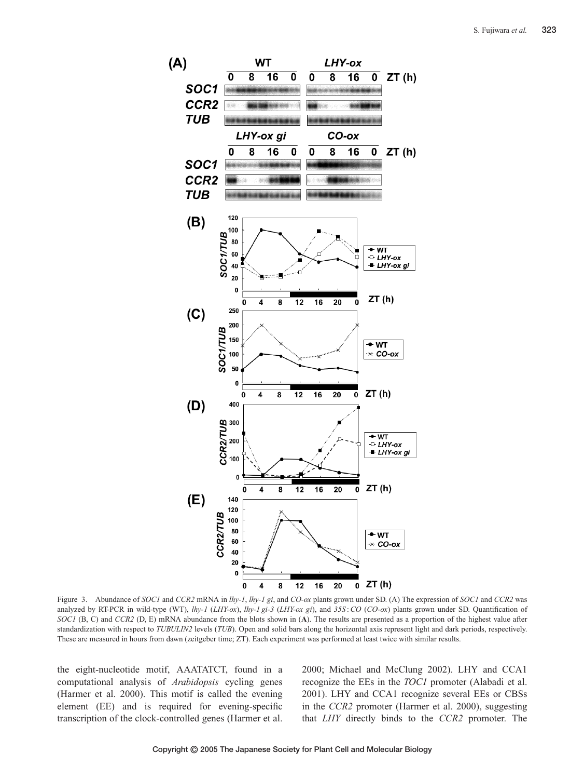

Figure 3. Abundance of *SOC1* and *CCR2* mRNA in *lhy-1*, *lhy-1 gi*, and *CO-ox* plants grown under SD. (A) The expression of *SOC1* and *CCR2* was analyzed by RT-PCR in wild-type (WT), *lhy-1* (*LHY-ox*), *lhy-1 gi-3* (*LHY-ox gi*), and *35S* :*CO* (*CO-ox*) plants grown under SD. Quantification of *SOC1* (B, C) and *CCR2* (D, E) mRNA abundance from the blots shown in (**A**). The results are presented as a proportion of the highest value after standardization with respect to *TUBULIN2* levels (*TUB*). Open and solid bars along the horizontal axis represent light and dark periods, respectively. These are measured in hours from dawn (zeitgeber time; ZT). Each experiment was performed at least twice with similar results.

the eight-nucleotide motif, AAATATCT, found in a computational analysis of *Arabidopsis* cycling genes (Harmer et al. 2000). This motif is called the evening element (EE) and is required for evening-specific transcription of the clock-controlled genes (Harmer et al.

2000; Michael and McClung 2002). LHY and CCA1 recognize the EEs in the *TOC1* promoter (Alabadi et al. 2001). LHY and CCA1 recognize several EEs or CBSs in the *CCR2* promoter (Harmer et al. 2000), suggesting that *LHY* directly binds to the *CCR2* promoter. The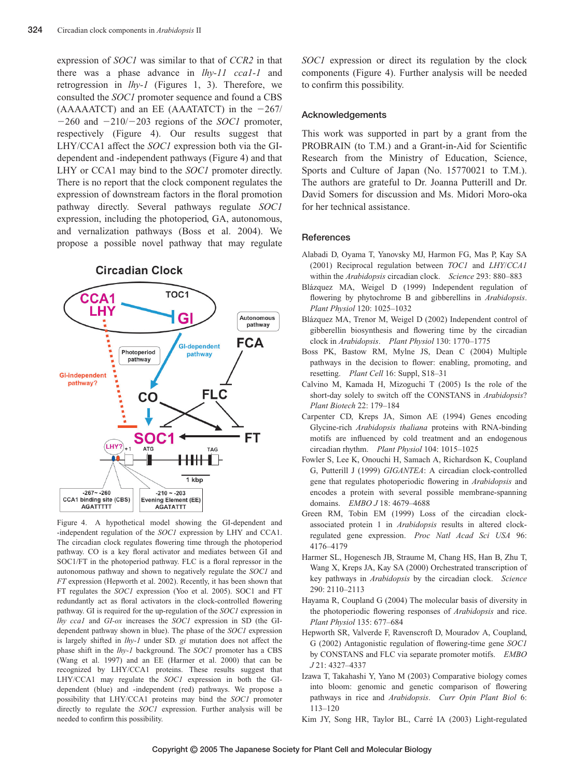expression of *SOC1* was similar to that of *CCR2* in that there was a phase advance in *lhy-11 cca1-1* and retrogression in *lhy-1* (Figures 1, 3). Therefore, we consulted the *SOC1* promoter sequence and found a CBS  $(AAAAATCT)$  and an EE  $(AAAATATCT)$  in the  $-267/$  $-260$  and  $-210/-203$  regions of the *SOC1* promoter, respectively (Figure 4). Our results suggest that LHY/CCA1 affect the *SOC1* expression both via the GIdependent and -independent pathways (Figure 4) and that LHY or CCA1 may bind to the *SOC1* promoter directly. There is no report that the clock component regulates the expression of downstream factors in the floral promotion pathway directly. Several pathways regulate *SOC1* expression, including the photoperiod, GA, autonomous, and vernalization pathways (Boss et al. 2004). We propose a possible novel pathway that may regulate

**Circadian Clock** 



Figure 4. A hypothetical model showing the GI-dependent and -independent regulation of the *SOC1* expression by LHY and CCA1. The circadian clock regulates flowering time through the photoperiod pathway. CO is a key floral activator and mediates between GI and SOC1/FT in the photoperiod pathway. FLC is a floral repressor in the autonomous pathway and shown to negatively regulate the *SOC1* and *FT* expression (Hepworth et al. 2002). Recently, it has been shown that FT regulates the *SOC1* expression (Yoo et al. 2005). SOC1 and FT redundantly act as floral activators in the clock-controlled flowering pathway. GI is required for the up-regulation of the *SOC1* expression in *lhy cca1* and *GI-ox* increases the *SOC1* expression in SD (the GIdependent pathway shown in blue). The phase of the *SOC1* expression is largely shifted in *lhy-1* under SD. *gi* mutation does not affect the phase shift in the *lhy-1* background. The *SOC1* promoter has a CBS (Wang et al. 1997) and an EE (Harmer et al. 2000) that can be recognized by LHY/CCA1 proteins. These results suggest that LHY/CCA1 may regulate the *SOC1* expression in both the GIdependent (blue) and -independent (red) pathways. We propose a possibility that LHY/CCA1 proteins may bind the *SOC1* promoter directly to regulate the *SOC1* expression. Further analysis will be needed to confirm this possibility.

*SOC1* expression or direct its regulation by the clock components (Figure 4). Further analysis will be needed to confirm this possibility.

#### **Acknowledgements**

This work was supported in part by a grant from the PROBRAIN (to T.M.) and a Grant-in-Aid for Scientific Research from the Ministry of Education, Science, Sports and Culture of Japan (No. 15770021 to T.M.). The authors are grateful to Dr. Joanna Putterill and Dr. David Somers for discussion and Ms. Midori Moro-oka for her technical assistance.

#### **References**

- Alabadi D, Oyama T, Yanovsky MJ, Harmon FG, Mas P, Kay SA (2001) Reciprocal regulation between *TOC1* and *LHY*/*CCA1* within the *Arabidopsis* circadian clock. *Science* 293: 880–883
- Blázquez MA, Weigel D (1999) Independent regulation of flowering by phytochrome B and gibberellins in *Arabidopsis*. *Plant Physiol* 120: 1025–1032
- Blázquez MA, Trenor M, Weigel D (2002) Independent control of gibberellin biosynthesis and flowering time by the circadian clock in *Arabidopsis*. *Plant Physiol* 130: 1770–1775
- Boss PK, Bastow RM, Mylne JS, Dean C (2004) Multiple pathways in the decision to flower: enabling, promoting, and resetting. *Plant Cell* 16: Suppl, S18–31
- Calvino M, Kamada H, Mizoguchi T (2005) Is the role of the short-day solely to switch off the CONSTANS in *Arabidopsis*? *Plant Biotech* 22: 179–184
- Carpenter CD, Kreps JA, Simon AE (1994) Genes encoding Glycine-rich *Arabidopsis thaliana* proteins with RNA-binding motifs are influenced by cold treatment and an endogenous circadian rhythm. *Plant Physiol* 104: 1015–1025
- Fowler S, Lee K, Onouchi H, Samach A, Richardson K, Coupland G, Putterill J (1999) *GIGANTEA*: A circadian clock-controlled gene that regulates photoperiodic flowering in *Arabidopsis* and encodes a protein with several possible membrane-spanning domains. *EMBO J* 18: 4679–4688
- Green RM, Tobin EM (1999) Loss of the circadian clockassociated protein 1 in *Arabidopsis* results in altered clockregulated gene expression. *Proc Natl Acad Sci USA* 96: 4176–4179
- Harmer SL, Hogenesch JB, Straume M, Chang HS, Han B, Zhu T, Wang X, Kreps JA, Kay SA (2000) Orchestrated transcription of key pathways in *Arabidopsis* by the circadian clock. *Science* 290: 2110–2113
- Hayama R, Coupland G (2004) The molecular basis of diversity in the photoperiodic flowering responses of *Arabidopsis* and rice. *Plant Physiol* 135: 677–684
- Hepworth SR, Valverde F, Ravenscroft D, Mouradov A, Coupland, G (2002) Antagonistic regulation of flowering-time gene *SOC1* by CONSTANS and FLC via separate promoter motifs. *EMBO J* 21: 4327–4337
- Izawa T, Takahashi Y, Yano M (2003) Comparative biology comes into bloom: genomic and genetic comparison of flowering pathways in rice and *Arabidopsis*. *Curr Opin Plant Biol* 6: 113–120

Kim JY, Song HR, Taylor BL, Carré IA (2003) Light-regulated